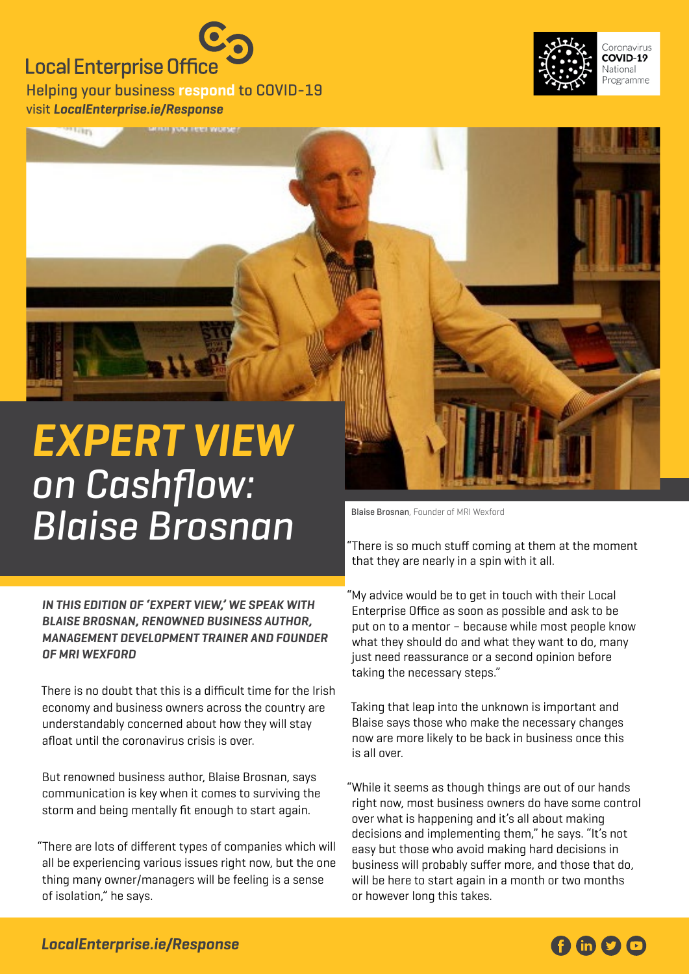## **Local Enterprise Office**

Helping your business **respond** to COVID-19 visit **[LocalEnterprise.ie/Response](http://LocalEnterprise.ie/Response)**





## **Expert View**  on Cashflow: **Blaise Brosnan**, Founder of MRI Wexford

**In this edition of 'Expert View,' we speak with Blaise Brosnan, renowned business author, management development trainer and founder of MRI Wexford** 

There is no doubt that this is a difficult time for the Irish economy and business owners across the country are understandably concerned about how they will stay afloat until the coronavirus crisis is over.

But renowned business author, Blaise Brosnan, says communication is key when it comes to surviving the storm and being mentally fit enough to start again.

"There are lots of different types of companies which will all be experiencing various issues right now, but the one thing many owner/managers will be feeling is a sense of isolation," he says.

"There is so much stuff coming at them at the moment that they are nearly in a spin with it all.

"My advice would be to get in touch with their Local Enterprise Office as soon as possible and ask to be put on to a mentor – because while most people know what they should do and what they want to do, many just need reassurance or a second opinion before taking the necessary steps."

Taking that leap into the unknown is important and Blaise says those who make the necessary changes now are more likely to be back in business once this is all over.

"While it seems as though things are out of our hands right now, most business owners do have some control over what is happening and it's all about making decisions and implementing them," he says. "It's not easy but those who avoid making hard decisions in business will probably suffer more, and those that do, will be here to start again in a month or two months or however long this takes.